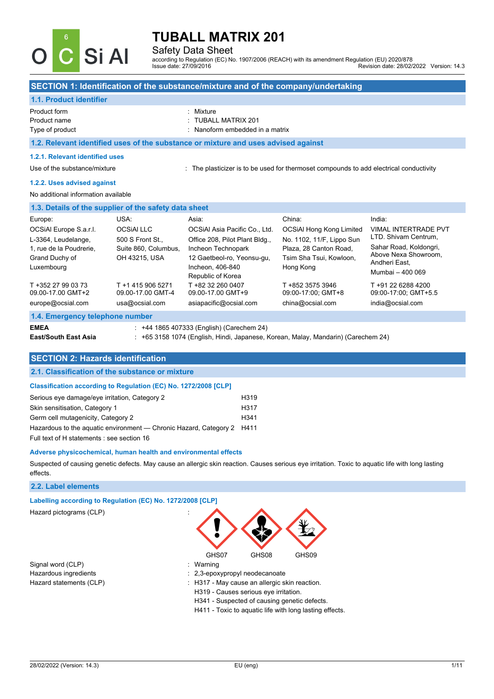

### Safety Data Sheet

according to Regulation (EC) No. 1907/2006 (REACH) with its amendment Regulation (EU) 2020/878 Revision date: 28/02/2022 Version: 14.3

#### **SECTION 1: Identification of the substance/mixture and of the company/undertaking**

### **1.1. Product identifier**

| Product form    | : Mixture                       |
|-----------------|---------------------------------|
| Product name    | : TUBALL MATRIX 201             |
| Type of product | : Nanoform embedded in a matrix |

**1.2. Relevant identified uses of the substance or mixture and uses advised against**

#### **1.2.1. Relevant identified uses**

Use of the substance/mixture : The plasticizer is to be used for thermoset compounds to add electrical conductivity

#### **1.2.2. Uses advised against**

#### No additional information available

| 1.3. Details of the supplier of the safety data sheet        |                                                          |                                                                                           |                                                                |                                                                                     |
|--------------------------------------------------------------|----------------------------------------------------------|-------------------------------------------------------------------------------------------|----------------------------------------------------------------|-------------------------------------------------------------------------------------|
| Europe:                                                      | USA:                                                     | Asia:                                                                                     | China:                                                         | India:                                                                              |
| OCSIAI Europe S.a.r.l.<br>L-3364, Leudelange,                | <b>OCSIALLLC</b><br>500 S Front St                       | OCSIAI Asia Pacific Co., Ltd.<br>Office 208, Pilot Plant Bldg.,                           | <b>OCSiAl Hong Kong Limited</b><br>No. 1102, 11/F, Lippo Sun   | <b>VIMAL INTERTRADE PVT</b><br>LTD. Shivam Centrum.                                 |
| 1. rue de la Poudrerie.<br>Grand Duchy of<br>Luxembourg      | Suite 860, Columbus.<br>OH 43215, USA                    | Incheon Technopark<br>12 Gaetbeol-ro, Yeonsu-gu,<br>Incheon, 406-840<br>Republic of Korea | Plaza, 28 Canton Road.<br>Tsim Sha Tsui, Kowloon,<br>Hong Kong | Sahar Road, Koldongri,<br>Above Nexa Showroom.<br>Andheri East,<br>Mumbai - 400 069 |
| T +352 27 99 03 73<br>09.00-17.00 GMT+2<br>europe@ocsial.com | T +1 415 906 5271<br>09.00-17.00 GMT-4<br>usa@ocsial.com | T +82 32 260 0407<br>09.00-17.00 GMT+9<br>asiapacific@ocsial.com                          | T +852 3575 3946<br>09:00-17:00: GMT+8<br>china@ocsial.com     | T +91 22 6288 4200<br>09:00-17:00: GMT+5.5<br>india@ocsial.com                      |
| 1.4. Emergency telephone number                              |                                                          |                                                                                           |                                                                |                                                                                     |

**EMEA** : +44 1865 407333 (English) (Carechem 24)

**East/South East Asia** : +65 3158 1074 (English, Hindi, Japanese, Korean, Malay, Mandarin) (Carechem 24)

## **SECTION 2: Hazards identification**

#### **2.1. Classification of the substance or mixture**

#### **Classification according to Regulation (EC) No. 1272/2008 [CLP]**

| Serious eye damage/eye irritation, Category 2                          | H <sub>3</sub> 19 |
|------------------------------------------------------------------------|-------------------|
| Skin sensitisation, Category 1                                         | H <sub>3</sub> 17 |
| Germ cell mutagenicity, Category 2                                     | H <sub>341</sub>  |
| Hazardous to the aquatic environment — Chronic Hazard, Category 2 H411 |                   |
| Full text of H statements : see section 16                             |                   |

#### **Adverse physicochemical, human health and environmental effects**

Suspected of causing genetic defects. May cause an allergic skin reaction. Causes serious eye irritation. Toxic to aquatic life with long lasting effects.

#### **2.2. Label elements**

#### **Labelling according to Regulation (EC) No. 1272/2008 [CLP]**

Hazard pictograms (CLP) :

Signal word (CLP)  $\qquad \qquad$ : Warning



- 
- Hazardous ingredients **interest in the set of the set of the set of the set of the set of the set of the set of the set of the set of the set of the set of the set of the set of the set of the set of the set of the set of**
- Hazard statements (CLP)  $\qquad \qquad$ : H317 May cause an allergic skin reaction.
	- H319 Causes serious eye irritation.
	- H341 Suspected of causing genetic defects.
	- H411 Toxic to aquatic life with long lasting effects.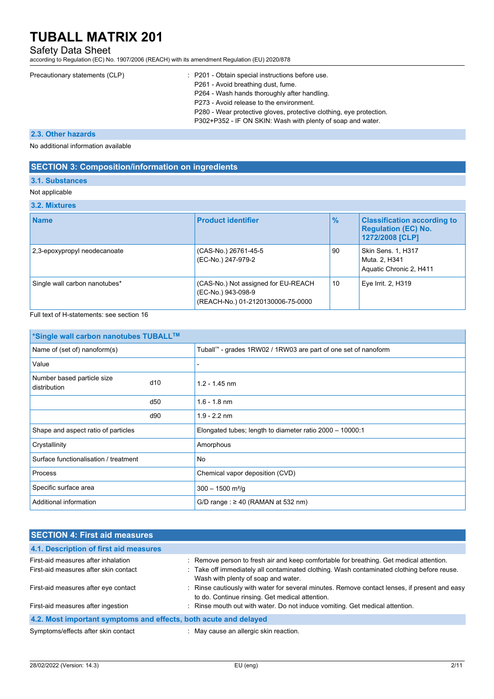## Safety Data Sheet

according to Regulation (EC) No. 1907/2006 (REACH) with its amendment Regulation (EU) 2020/878

| Precautionary statements (CLP) | : P201 - Obtain special instructions before use.<br>P261 - Avoid breathing dust, fume.<br>P264 - Wash hands thoroughly after handling. |
|--------------------------------|----------------------------------------------------------------------------------------------------------------------------------------|
|                                | P273 - Avoid release to the environment.                                                                                               |
|                                | P280 - Wear protective gloves, protective clothing, eye protection.<br>P302+P352 - IF ON SKIN: Wash with plenty of soap and water.     |

## **2.3. Other hazards**

No additional information available

## **SECTION 3: Composition/information on ingredients**

### **3.1. Substances**

#### Not applicable

### **3.2. Mixtures**

| <b>Name</b>                   | <b>Product identifier</b>                                                                      | $\frac{9}{6}$ | <b>Classification according to</b><br><b>Regulation (EC) No.</b><br>1272/2008 [CLP] |
|-------------------------------|------------------------------------------------------------------------------------------------|---------------|-------------------------------------------------------------------------------------|
| 2,3-epoxypropyl neodecanoate  | (CAS-No.) 26761-45-5<br>(EC-No.) 247-979-2                                                     | 90            | <b>Skin Sens. 1, H317</b><br>Muta. 2, H341<br>Aquatic Chronic 2, H411               |
| Single wall carbon nanotubes* | (CAS-No.) Not assigned for EU-REACH<br>(EC-No.) 943-098-9<br>(REACH-No.) 01-2120130006-75-0000 | 10            | Eye Irrit. 2, H319                                                                  |

### Full text of H-statements: see section 16

| <sup>*</sup> Single wall carbon nanotubes TUBALL™ |     |                                                                |
|---------------------------------------------------|-----|----------------------------------------------------------------|
| Name of (set of) nanoform(s)                      |     | Tuball™ - grades 1RW02 / 1RW03 are part of one set of nanoform |
| Value                                             |     |                                                                |
| Number based particle size<br>distribution        | d10 | $1.2 - 1.45$ nm                                                |
|                                                   | d50 | $1.6 - 1.8$ nm                                                 |
|                                                   | d90 | $1.9 - 2.2$ nm                                                 |
| Shape and aspect ratio of particles               |     | Elongated tubes; length to diameter ratio $2000 - 10000$ :1    |
| Crystallinity                                     |     | Amorphous                                                      |
| Surface functionalisation / treatment             |     | No.                                                            |
| Process                                           |     | Chemical vapor deposition (CVD)                                |
| Specific surface area                             |     | $300 - 1500$ m <sup>2</sup> /g                                 |
| Additional information                            |     | $G/D$ range: $\geq 40$ (RAMAN at 532 nm)                       |

| <b>SECTION 4: First aid measures</b>                             |                                                                                                                                                  |
|------------------------------------------------------------------|--------------------------------------------------------------------------------------------------------------------------------------------------|
| 4.1. Description of first aid measures                           |                                                                                                                                                  |
| First-aid measures after inhalation                              | : Remove person to fresh air and keep comfortable for breathing. Get medical attention.                                                          |
| First-aid measures after skin contact                            | : Take off immediately all contaminated clothing. Wash contaminated clothing before reuse.<br>Wash with plenty of soap and water.                |
| First-aid measures after eye contact                             | : Rinse cautiously with water for several minutes. Remove contact lenses, if present and easy<br>to do. Continue rinsing. Get medical attention. |
| First-aid measures after ingestion                               | : Rinse mouth out with water. Do not induce vomiting. Get medical attention.                                                                     |
| 4.2. Most important symptoms and effects, both acute and delayed |                                                                                                                                                  |
| Symptoms/effects after skin contact                              | : May cause an allergic skin reaction.                                                                                                           |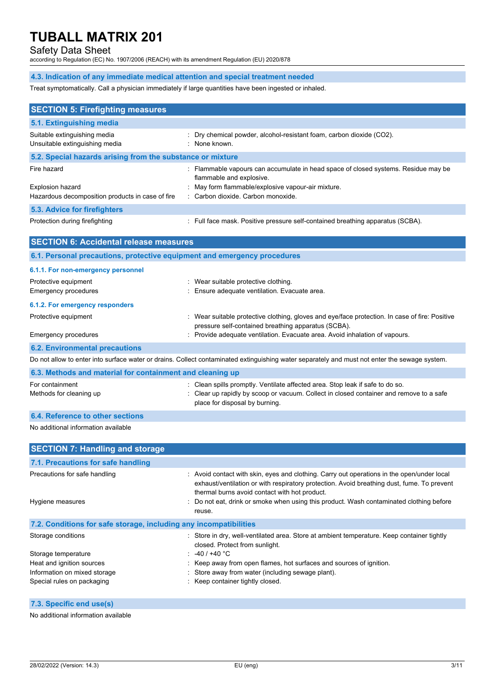# Safety Data Sheet

according to Regulation (EC) No. 1907/2006 (REACH) with its amendment Regulation (EU) 2020/878

## **4.3. Indication of any immediate medical attention and special treatment needed**

Treat symptomatically. Call a physician immediately if large quantities have been ingested or inhaled.

| <b>SECTION 5: Firefighting measures</b>                                  |                                                                                                                                                                                                            |
|--------------------------------------------------------------------------|------------------------------------------------------------------------------------------------------------------------------------------------------------------------------------------------------------|
| 5.1. Extinguishing media                                                 |                                                                                                                                                                                                            |
| Suitable extinguishing media<br>Unsuitable extinguishing media           | Dry chemical powder, alcohol-resistant foam, carbon dioxide (CO2).<br>: None known.                                                                                                                        |
| 5.2. Special hazards arising from the substance or mixture               |                                                                                                                                                                                                            |
| Fire hazard<br><b>Explosion hazard</b>                                   | : Flammable vapours can accumulate in head space of closed systems. Residue may be<br>flammable and explosive.<br>May form flammable/explosive vapour-air mixture.                                         |
| Hazardous decomposition products in case of fire                         | : Carbon dioxide. Carbon monoxide.                                                                                                                                                                         |
| 5.3. Advice for firefighters                                             |                                                                                                                                                                                                            |
| Protection during firefighting                                           | : Full face mask. Positive pressure self-contained breathing apparatus (SCBA).                                                                                                                             |
| <b>SECTION 6: Accidental release measures</b>                            |                                                                                                                                                                                                            |
| 6.1. Personal precautions, protective equipment and emergency procedures |                                                                                                                                                                                                            |
| 6.1.1. For non-emergency personnel                                       |                                                                                                                                                                                                            |
| Protective equipment                                                     | : Wear suitable protective clothing.                                                                                                                                                                       |
| <b>Emergency procedures</b>                                              | Ensure adequate ventilation. Evacuate area.                                                                                                                                                                |
| 6.1.2. For emergency responders                                          |                                                                                                                                                                                                            |
| Protective equipment                                                     | : Wear suitable protective clothing, gloves and eye/face protection. In case of fire: Positive<br>pressure self-contained breathing apparatus (SCBA).                                                      |
| Emergency procedures                                                     | : Provide adequate ventilation. Evacuate area. Avoid inhalation of vapours.                                                                                                                                |
| <b>6.2. Environmental precautions</b>                                    |                                                                                                                                                                                                            |
|                                                                          | Do not allow to enter into surface water or drains. Collect contaminated extinguishing water separately and must not enter the sewage system.                                                              |
| 6.3. Methods and material for containment and cleaning up                |                                                                                                                                                                                                            |
| For containment<br>Methods for cleaning up                               | : Clean spills promptly. Ventilate affected area. Stop leak if safe to do so.<br>: Clear up rapidly by scoop or vacuum. Collect in closed container and remove to a safe<br>place for disposal by burning. |
| 6.4. Reference to other sections                                         |                                                                                                                                                                                                            |
| No additional information available                                      |                                                                                                                                                                                                            |

| <b>SECTION 7: Handling and storage</b>                            |                                                                                                                                                                                                                                           |
|-------------------------------------------------------------------|-------------------------------------------------------------------------------------------------------------------------------------------------------------------------------------------------------------------------------------------|
| 7.1. Precautions for safe handling                                |                                                                                                                                                                                                                                           |
| Precautions for safe handling                                     | : Avoid contact with skin, eyes and clothing. Carry out operations in the open/under local<br>exhaust/ventilation or with respiratory protection. Avoid breathing dust, fume. To prevent<br>thermal burns avoid contact with hot product. |
| Hygiene measures                                                  | : Do not eat, drink or smoke when using this product. Wash contaminated clothing before<br>reuse.                                                                                                                                         |
| 7.2. Conditions for safe storage, including any incompatibilities |                                                                                                                                                                                                                                           |
| Storage conditions                                                | : Store in dry, well-ventilated area. Store at ambient temperature. Keep container tightly<br>closed. Protect from sunlight.                                                                                                              |
| Storage temperature                                               | : $-40/+40 °C$                                                                                                                                                                                                                            |
| Heat and ignition sources                                         | : Keep away from open flames, hot surfaces and sources of ignition.                                                                                                                                                                       |
| Information on mixed storage                                      | : Store away from water (including sewage plant).                                                                                                                                                                                         |
| Special rules on packaging                                        | : Keep container tightly closed.                                                                                                                                                                                                          |

### **7.3. Specific end use(s)**

No additional information available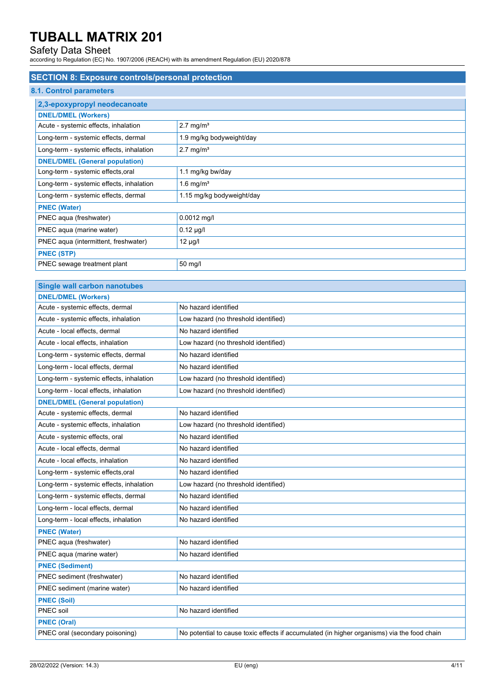# Safety Data Sheet

according to Regulation (EC) No. 1907/2006 (REACH) with its amendment Regulation (EU) 2020/878

| <b>SECTION 8: Exposure controls/personal protection</b> |                           |  |  |
|---------------------------------------------------------|---------------------------|--|--|
| 8.1. Control parameters                                 |                           |  |  |
| 2,3-epoxypropyl neodecanoate                            |                           |  |  |
| <b>DNEL/DMEL (Workers)</b>                              |                           |  |  |
| Acute - systemic effects, inhalation                    | $2.7 \text{ mg/m}^3$      |  |  |
| Long-term - systemic effects, dermal                    | 1.9 mg/kg bodyweight/day  |  |  |
| Long-term - systemic effects, inhalation                | $2.7 \text{ mg/m}^3$      |  |  |
| <b>DNEL/DMEL (General population)</b>                   |                           |  |  |
| Long-term - systemic effects, oral                      | 1.1 mg/kg bw/day          |  |  |
| Long-term - systemic effects, inhalation                | 1.6 mg/ $m3$              |  |  |
| Long-term - systemic effects, dermal                    | 1.15 mg/kg bodyweight/day |  |  |
| <b>PNEC (Water)</b>                                     |                           |  |  |
| PNEC aqua (freshwater)                                  | $0.0012$ mg/l             |  |  |
| PNEC aqua (marine water)                                | $0.12 \mu g/l$            |  |  |
| PNEC aqua (intermittent, freshwater)                    | $12 \mu g/l$              |  |  |
| <b>PNEC (STP)</b>                                       |                           |  |  |
| PNEC sewage treatment plant                             | 50 mg/l                   |  |  |

| <b>Single wall carbon nanotubes</b>      |                                                                                             |
|------------------------------------------|---------------------------------------------------------------------------------------------|
| <b>DNEL/DMEL (Workers)</b>               |                                                                                             |
| Acute - systemic effects, dermal         | No hazard identified                                                                        |
| Acute - systemic effects, inhalation     | Low hazard (no threshold identified)                                                        |
| Acute - local effects, dermal            | No hazard identified                                                                        |
| Acute - local effects, inhalation        | Low hazard (no threshold identified)                                                        |
| Long-term - systemic effects, dermal     | No hazard identified                                                                        |
| Long-term - local effects, dermal        | No hazard identified                                                                        |
| Long-term - systemic effects, inhalation | Low hazard (no threshold identified)                                                        |
| Long-term - local effects, inhalation    | Low hazard (no threshold identified)                                                        |
| <b>DNEL/DMEL (General population)</b>    |                                                                                             |
| Acute - systemic effects, dermal         | No hazard identified                                                                        |
| Acute - systemic effects, inhalation     | Low hazard (no threshold identified)                                                        |
| Acute - systemic effects, oral           | No hazard identified                                                                        |
| Acute - local effects, dermal            | No hazard identified                                                                        |
| Acute - local effects, inhalation        | No hazard identified                                                                        |
| Long-term - systemic effects, oral       | No hazard identified                                                                        |
| Long-term - systemic effects, inhalation | Low hazard (no threshold identified)                                                        |
| Long-term - systemic effects, dermal     | No hazard identified                                                                        |
| Long-term - local effects, dermal        | No hazard identified                                                                        |
| Long-term - local effects, inhalation    | No hazard identified                                                                        |
| <b>PNEC (Water)</b>                      |                                                                                             |
| PNEC aqua (freshwater)                   | No hazard identified                                                                        |
| PNEC aqua (marine water)                 | No hazard identified                                                                        |
| <b>PNEC (Sediment)</b>                   |                                                                                             |
| PNEC sediment (freshwater)               | No hazard identified                                                                        |
| PNEC sediment (marine water)             | No hazard identified                                                                        |
| <b>PNEC (Soil)</b>                       |                                                                                             |
| PNEC soil                                | No hazard identified                                                                        |
| <b>PNEC (Oral)</b>                       |                                                                                             |
| PNEC oral (secondary poisoning)          | No potential to cause toxic effects if accumulated (in higher organisms) via the food chain |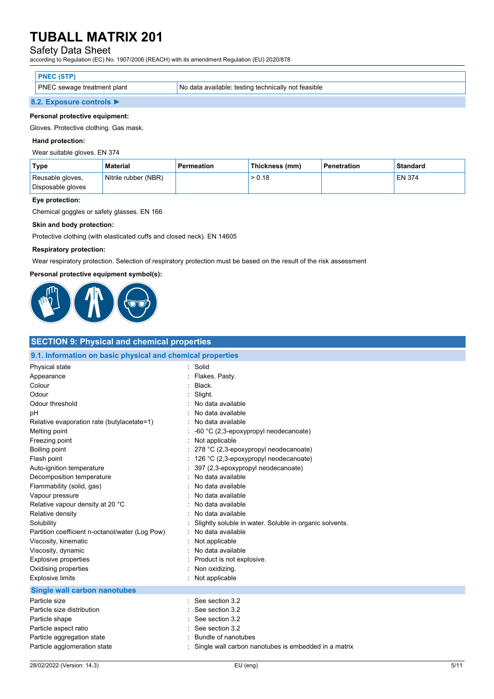## Safety Data Sheet

according to Regulation (EC) No. 1907/2006 (REACH) with its amendment Regulation (EU) 2020/878

| <b>PNEC (STP)</b>                  |                                                     |
|------------------------------------|-----------------------------------------------------|
| <b>PNEC</b> sewage treatment plant | No data available: testing technically not feasible |
| 8.2. Exposure controls ▶           |                                                     |

#### **Personal protective equipment:**

Gloves. Protective clothing. Gas mask.

#### **Hand protection:**

Wear suitable gloves. EN 374

| Type                                  | <b>Material</b>      | <b>Permeation</b> | Thickness (mm) | Penetration | Standard |
|---------------------------------------|----------------------|-------------------|----------------|-------------|----------|
| Reusable gloves,<br>Disposable gloves | Nitrile rubber (NBR) |                   | > 0.18         |             | EN 374   |
|                                       |                      |                   |                |             |          |

#### **Eye protection:**

Chemical goggles or safety glasses. EN 166

#### **Skin and body protection:**

Protective clothing (with elasticated cuffs and closed neck). EN 14605

### **Respiratory protection:**

Wear respiratory protection. Selection of respiratory protection must be based on the result of the risk assessment

#### **Personal protective equipment symbol(s):**



| <b>SECTION 9: Physical and chemical properties</b>         |                                                         |  |  |  |
|------------------------------------------------------------|---------------------------------------------------------|--|--|--|
| 9.1. Information on basic physical and chemical properties |                                                         |  |  |  |
| Physical state                                             | $\bullet$<br>Solid                                      |  |  |  |
| Appearance                                                 | Flakes. Pasty.                                          |  |  |  |
| Colour                                                     | Black.                                                  |  |  |  |
| Odour                                                      | Slight.                                                 |  |  |  |
| Odour threshold                                            | No data available                                       |  |  |  |
| рH                                                         | No data available                                       |  |  |  |
| Relative evaporation rate (butylacetate=1)                 | No data available                                       |  |  |  |
| Melting point                                              | -60 °C (2,3-epoxypropyl neodecanoate)                   |  |  |  |
| Freezing point                                             | Not applicable                                          |  |  |  |
| <b>Boiling point</b>                                       | 278 °C (2,3-epoxypropyl neodecanoate)                   |  |  |  |
| Flash point                                                | 126 °C (2,3-epoxypropyl neodecanoate)                   |  |  |  |
| Auto-ignition temperature                                  | 397 (2,3-epoxypropyl neodecanoate)                      |  |  |  |
| Decomposition temperature                                  | No data available                                       |  |  |  |
| Flammability (solid, gas)                                  | No data available                                       |  |  |  |
| Vapour pressure                                            | No data available                                       |  |  |  |
| Relative vapour density at 20 °C                           | No data available                                       |  |  |  |
| Relative density                                           | No data available                                       |  |  |  |
| Solubility                                                 | Slightly soluble in water. Soluble in organic solvents. |  |  |  |
| Partition coefficient n-octanol/water (Log Pow)            | No data available                                       |  |  |  |
| Viscosity, kinematic                                       | Not applicable                                          |  |  |  |
| Viscosity, dynamic                                         | No data available                                       |  |  |  |
| <b>Explosive properties</b>                                | Product is not explosive.                               |  |  |  |
| Oxidising properties                                       | Non oxidizing.                                          |  |  |  |
| <b>Explosive limits</b>                                    | Not applicable                                          |  |  |  |
| <b>Single wall carbon nanotubes</b>                        |                                                         |  |  |  |
| Particle size                                              | See section 3.2                                         |  |  |  |
| Particle size distribution                                 | See section 3.2                                         |  |  |  |
| Particle shape                                             | See section 3.2                                         |  |  |  |
| Particle aspect ratio                                      | See section 3.2                                         |  |  |  |
| Particle aggregation state                                 | Bundle of nanotubes                                     |  |  |  |
| Particle agglomeration state                               | Single wall carbon nanotubes is embedded in a matrix    |  |  |  |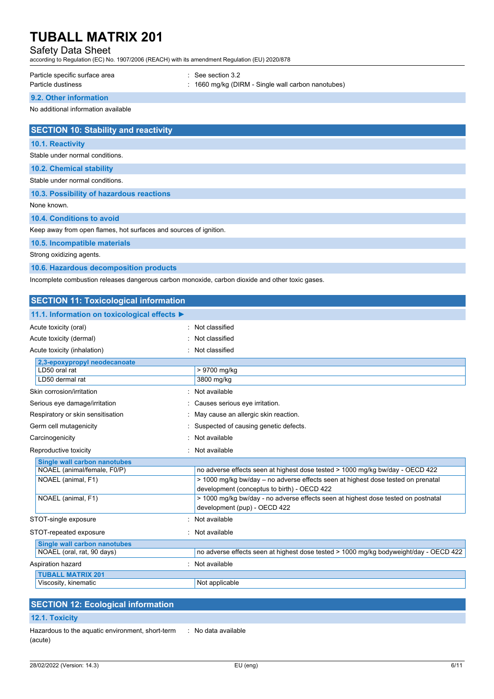## Safety Data Sheet

according to Regulation (EC) No. 1907/2006 (REACH) with its amendment Regulation (EU) 2020/878

| Particle specific surface area | $\therefore$ See section 3.2                                  |
|--------------------------------|---------------------------------------------------------------|
| Particle dustiness             | $\therefore$ 1660 mg/kg (DIRM - Single wall carbon nanotubes) |

## **9.2. Other information**

No additional information available

| <b>SECTION 10: Stability and reactivity</b>                       |
|-------------------------------------------------------------------|
| <b>10.1. Reactivity</b>                                           |
| Stable under normal conditions.                                   |
| <b>10.2. Chemical stability</b>                                   |
| Stable under normal conditions.                                   |
| 10.3. Possibility of hazardous reactions                          |
| None known.                                                       |
| 10.4. Conditions to avoid                                         |
| Keep away from open flames, hot surfaces and sources of ignition. |
| 10.5. Incompatible materials                                      |
| Strong oxidizing agents.                                          |

**10.6. Hazardous decomposition products**

Incomplete combustion releases dangerous carbon monoxide, carbon dioxide and other toxic gases.

| <b>SECTION 11: Toxicological information</b> |                                                                                                                                 |
|----------------------------------------------|---------------------------------------------------------------------------------------------------------------------------------|
| 11.1. Information on toxicological effects ▶ |                                                                                                                                 |
| Acute toxicity (oral)                        | : Not classified                                                                                                                |
| Acute toxicity (dermal)                      | : Not classified                                                                                                                |
| Acute toxicity (inhalation)                  | Not classified                                                                                                                  |
| 2,3-epoxypropyl neodecanoate                 |                                                                                                                                 |
| LD50 oral rat                                | $\overline{>}$ 9700 mg/kg                                                                                                       |
| LD50 dermal rat                              | 3800 mg/kg                                                                                                                      |
| Skin corrosion/irritation                    | : Not available                                                                                                                 |
| Serious eye damage/irritation                | : Causes serious eye irritation.                                                                                                |
| Respiratory or skin sensitisation            | : May cause an allergic skin reaction.                                                                                          |
| Germ cell mutagenicity                       | Suspected of causing genetic defects.                                                                                           |
| Carcinogenicity                              | Not available                                                                                                                   |
| Reproductive toxicity                        | : Not available                                                                                                                 |
| <b>Single wall carbon nanotubes</b>          |                                                                                                                                 |
| NOAEL (animal/female, F0/P)                  | no adverse effects seen at highest dose tested > 1000 mg/kg bw/day - OECD 422                                                   |
| NOAEL (animal, F1)                           | > 1000 mg/kg bw/day - no adverse effects seen at highest dose tested on prenatal<br>development (conceptus to birth) - OECD 422 |
| NOAEL (animal, F1)                           | > 1000 mg/kg bw/day - no adverse effects seen at highest dose tested on postnatal<br>development (pup) - OECD 422               |
| STOT-single exposure                         | · Not available                                                                                                                 |
| STOT-repeated exposure                       | : Not available                                                                                                                 |
| <b>Single wall carbon nanotubes</b>          |                                                                                                                                 |
| NOAEL (oral, rat, 90 days)                   | no adverse effects seen at highest dose tested > 1000 mg/kg bodyweight/day - OECD 422                                           |
| Aspiration hazard                            | Not available                                                                                                                   |
| <b>TUBALL MATRIX 201</b>                     |                                                                                                                                 |
| Viscosity, kinematic                         | Not applicable                                                                                                                  |

| <b>SECTION 12: Ecological information</b>                            |  |  |  |
|----------------------------------------------------------------------|--|--|--|
| <b>12.1. Toxicity</b>                                                |  |  |  |
| Hazardous to the aguatic environment, short-term : No data available |  |  |  |

Hazardous to the aquatic environment, short-term (acute)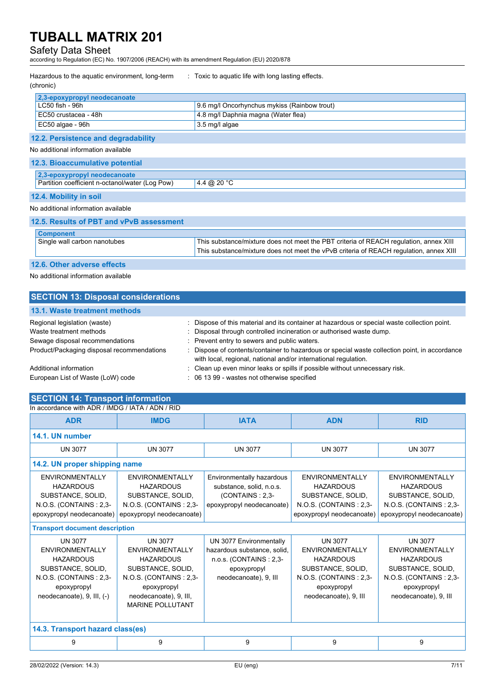## Safety Data Sheet

according to Regulation (EC) No. 1907/2006 (REACH) with its amendment Regulation (EU) 2020/878

| Hazardous to the aquatic environment, long-term<br>(chronic) | : Toxic to aquatic life with long lasting effects.                                     |
|--------------------------------------------------------------|----------------------------------------------------------------------------------------|
| 2,3-epoxypropyl neodecanoate                                 |                                                                                        |
| LC50 fish - 96h                                              | 9.6 mg/l Oncorhynchus mykiss (Rainbow trout)                                           |
| EC50 crustacea - 48h                                         | 4.8 mg/l Daphnia magna (Water flea)                                                    |
| EC50 algae - 96h                                             | 3.5 mg/l algae                                                                         |
| 12.2. Persistence and degradability                          |                                                                                        |
| No additional information available                          |                                                                                        |
| 12.3. Bioaccumulative potential                              |                                                                                        |
| 2,3-epoxypropyl neodecanoate                                 |                                                                                        |
| Partition coefficient n-octanol/water (Log Pow)              | 4.4 @ 20 °C                                                                            |
| 12.4. Mobility in soil                                       |                                                                                        |
| No additional information available                          |                                                                                        |
| 12.5. Results of PBT and vPvB assessment                     |                                                                                        |
| <b>Component</b>                                             |                                                                                        |
| Single wall carbon nanotubes                                 | This substance/mixture does not meet the PBT criteria of REACH regulation, annex XIII  |
|                                                              | This substance/mixture does not meet the vPvB criteria of REACH regulation, annex XIII |

#### **12.6. Other adverse effects**

No additional information available

| <b>SECTION 13: Disposal considerations</b>              |                                                                                                                                                                      |
|---------------------------------------------------------|----------------------------------------------------------------------------------------------------------------------------------------------------------------------|
| 13.1. Waste treatment methods                           |                                                                                                                                                                      |
| Regional legislation (waste)<br>Waste treatment methods | : Dispose of this material and its container at hazardous or special waste collection point.<br>: Disposal through controlled incineration or authorised waste dump. |
| Sewage disposal recommendations                         | : Prevent entry to sewers and public waters.                                                                                                                         |
| Product/Packaging disposal recommendations              | : Dispose of contents/container to hazardous or special waste collection point, in accordance<br>with local, regional, national and/or international regulation.     |
| Additional information                                  | : Clean up even minor leaks or spills if possible without unnecessary risk.                                                                                          |
| European List of Waste (LoW) code                       | : 06 13 99 - wastes not otherwise specified                                                                                                                          |

#### **SECTION 14: Transport information** In accordance with ADR / IMDG / IATA / ADN / RID

| <b>ADR</b>                                                                                                                                        | <b>IMDG</b>                                                                                                                                                              | <b>IATA</b>                                                                                                              | <b>ADN</b>                                                                                                                                   | <b>RID</b>                                                                                                                                   |
|---------------------------------------------------------------------------------------------------------------------------------------------------|--------------------------------------------------------------------------------------------------------------------------------------------------------------------------|--------------------------------------------------------------------------------------------------------------------------|----------------------------------------------------------------------------------------------------------------------------------------------|----------------------------------------------------------------------------------------------------------------------------------------------|
| 14.1. UN number                                                                                                                                   |                                                                                                                                                                          |                                                                                                                          |                                                                                                                                              |                                                                                                                                              |
| <b>UN 3077</b>                                                                                                                                    | <b>UN 3077</b>                                                                                                                                                           | <b>UN 3077</b>                                                                                                           | <b>UN 3077</b>                                                                                                                               | <b>UN 3077</b>                                                                                                                               |
| 14.2. UN proper shipping name                                                                                                                     |                                                                                                                                                                          |                                                                                                                          |                                                                                                                                              |                                                                                                                                              |
| <b>ENVIRONMENTALLY</b><br><b>HAZARDOUS</b><br>SUBSTANCE, SOLID,<br>N.O.S. (CONTAINS: 2,3-<br>epoxypropyl neodecanoate)                            | ENVIRONMENTALLY<br><b>HAZARDOUS</b><br>SUBSTANCE, SOLID,<br>N.O.S. (CONTAINS: 2,3-<br>epoxypropyl neodecanoate)                                                          | Environmentally hazardous<br>substance, solid, n.o.s.<br>(CONTAINS: 2.3-<br>epoxypropyl neodecanoate)                    | ENVIRONMENTALLY<br><b>HAZARDOUS</b><br>SUBSTANCE, SOLID,<br>N.O.S. (CONTAINS: 2,3-<br>epoxypropyl neodecanoate)                              | <b>ENVIRONMENTALLY</b><br><b>HAZARDOUS</b><br>SUBSTANCE, SOLID,<br>N.O.S. (CONTAINS: 2,3-<br>epoxypropyl neodecanoate)                       |
| <b>Transport document description</b>                                                                                                             |                                                                                                                                                                          |                                                                                                                          |                                                                                                                                              |                                                                                                                                              |
| <b>UN 3077</b><br>ENVIRONMENTALLY<br><b>HAZARDOUS</b><br>SUBSTANCE, SOLID,<br>N.O.S. (CONTAINS: 2,3-<br>epoxypropyl<br>neodecanoate), 9, III, (-) | <b>UN 3077</b><br>ENVIRONMENTALLY<br><b>HAZARDOUS</b><br>SUBSTANCE, SOLID,<br>N.O.S. (CONTAINS: 2,3-<br>epoxypropyl<br>neodecanoate), 9, III,<br><b>MARINE POLLUTANT</b> | UN 3077 Environmentally<br>hazardous substance, solid,<br>n.o.s. (CONTAINS: 2,3-<br>epoxypropyl<br>neodecanoate), 9, III | <b>UN 3077</b><br>ENVIRONMENTALLY<br><b>HAZARDOUS</b><br>SUBSTANCE, SOLID,<br>N.O.S. (CONTAINS: 2,3-<br>epoxypropyl<br>neodecanoate), 9, III | <b>UN 3077</b><br>ENVIRONMENTALLY<br><b>HAZARDOUS</b><br>SUBSTANCE, SOLID,<br>N.O.S. (CONTAINS: 2,3-<br>epoxypropyl<br>neodecanoate), 9, III |
| 14.3. Transport hazard class(es)                                                                                                                  |                                                                                                                                                                          |                                                                                                                          |                                                                                                                                              |                                                                                                                                              |
| 9                                                                                                                                                 | 9                                                                                                                                                                        | 9                                                                                                                        | 9                                                                                                                                            | 9                                                                                                                                            |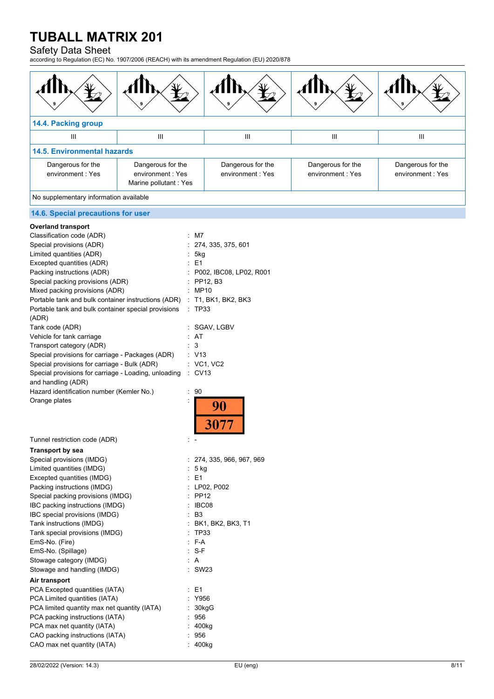# Safety Data Sheet

according to Regulation (EC) No. 1907/2006 (REACH) with its amendment Regulation (EU) 2020/878

| 14.4. Packing group                   |                                                                 |                                        |                                       |                                       |
|---------------------------------------|-----------------------------------------------------------------|----------------------------------------|---------------------------------------|---------------------------------------|
| III                                   | Ш                                                               | Ш                                      | Ш                                     | Ш                                     |
| <b>14.5. Environmental hazards</b>    |                                                                 |                                        |                                       |                                       |
| Dangerous for the<br>environment: Yes | Dangerous for the<br>environment : Yes<br>Marine pollutant: Yes | Dangerous for the<br>environment : Yes | Dangerous for the<br>environment: Yes | Dangerous for the<br>environment: Yes |

No supplementary information available

# **14.6. Special precautions for user**

| <b>Overland transport</b>                            |                           |
|------------------------------------------------------|---------------------------|
| Classification code (ADR)                            | : M7                      |
| Special provisions (ADR)                             | 274, 335, 375, 601        |
| Limited quantities (ADR)                             | 5kg                       |
| Excepted quantities (ADR)                            | : E1                      |
| Packing instructions (ADR)                           | : P002, IBC08, LP02, R001 |
| Special packing provisions (ADR)                     | : PP12, B3                |
| Mixed packing provisions (ADR)                       | : MP10                    |
| Portable tank and bulk container instructions (ADR)  | : T1, BK1, BK2, BK3       |
| Portable tank and bulk container special provisions  | $\therefore$ TP33         |
| (ADR)                                                |                           |
| Tank code (ADR)                                      | SGAV, LGBV                |
| Vehicle for tank carriage                            | : AT                      |
| Transport category (ADR)                             | 3                         |
| Special provisions for carriage - Packages (ADR)     | : V13                     |
| Special provisions for carriage - Bulk (ADR)         | : VC1, VC2                |
| Special provisions for carriage - Loading, unloading | $\therefore$ CV13         |
| and handling (ADR)                                   |                           |
| Hazard identification number (Kemler No.)            | t<br>90                   |
| Orange plates                                        | Ì                         |
|                                                      | 90                        |
|                                                      |                           |
|                                                      | 3077                      |
|                                                      |                           |
| Tunnel restriction code (ADR)                        |                           |
| <b>Transport by sea</b>                              |                           |
| Special provisions (IMDG)                            | 274, 335, 966, 967, 969   |
| Limited quantities (IMDG)                            | $: 5$ kg                  |
| Excepted quantities (IMDG)                           | : E1                      |
| Packing instructions (IMDG)                          | : LP02, P002              |
| Special packing provisions (IMDG)                    | <b>PP12</b>               |
| IBC packing instructions (IMDG)                      | IBC08                     |
| IBC special provisions (IMDG)                        | : B3                      |
| Tank instructions (IMDG)                             | : BK1, BK2, BK3, T1       |
| Tank special provisions (IMDG)                       | TP33                      |
| EmS-No. (Fire)                                       | : F-A                     |
| EmS-No. (Spillage)                                   | $: S-F$                   |
| Stowage category (IMDG)                              | AA                        |
| Stowage and handling (IMDG)                          | <b>SW23</b>               |
| Air transport                                        |                           |
| PCA Excepted quantities (IATA)                       | : E1                      |
| PCA Limited quantities (IATA)                        | Y956                      |
| PCA limited quantity max net quantity (IATA)         | 30kgG                     |
| PCA packing instructions (IATA)                      | 956                       |
| PCA max net quantity (IATA)                          | 400kg                     |
| CAO packing instructions (IATA)                      | 956                       |
| CAO max net quantity (IATA)                          | 400kg                     |
|                                                      |                           |
|                                                      |                           |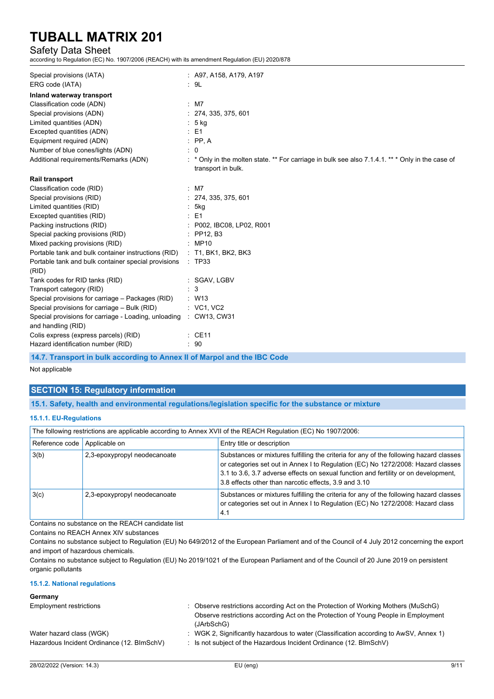## Safety Data Sheet

according to Regulation (EC) No. 1907/2006 (REACH) with its amendment Regulation (EU) 2020/878

| Special provisions (IATA)                                                  | $\therefore$ A97, A158, A179, A197                                                                                   |
|----------------------------------------------------------------------------|----------------------------------------------------------------------------------------------------------------------|
| ERG code (IATA)                                                            | : 9L                                                                                                                 |
| Inland waterway transport                                                  |                                                                                                                      |
| Classification code (ADN)                                                  | $:$ M7                                                                                                               |
| Special provisions (ADN)                                                   | 274, 335, 375, 601                                                                                                   |
| Limited quantities (ADN)                                                   | : 5 kg                                                                                                               |
| Excepted quantities (ADN)                                                  | $\therefore$ E1                                                                                                      |
| Equipment required (ADN)                                                   | $\therefore$ PP, A                                                                                                   |
| Number of blue cones/lights (ADN)                                          | $\therefore$ 0                                                                                                       |
| Additional requirements/Remarks (ADN)                                      | * Only in the molten state. ** For carriage in bulk see also 7.1.4.1. ** * Only in the case of<br>transport in bulk. |
| <b>Rail transport</b>                                                      |                                                                                                                      |
| Classification code (RID)                                                  | $:$ M7                                                                                                               |
| Special provisions (RID)                                                   | : 274, 335, 375, 601                                                                                                 |
| Limited quantities (RID)                                                   | : 5kg                                                                                                                |
| Excepted quantities (RID)                                                  | $E = 1$                                                                                                              |
| Packing instructions (RID)                                                 | : P002, IBC08, LP02, R001                                                                                            |
| Special packing provisions (RID)                                           | $:$ PP12, B3                                                                                                         |
| Mixed packing provisions (RID)                                             | : MP10                                                                                                               |
| Portable tank and bulk container instructions (RID)                        | $:$ T1, BK1, BK2, BK3                                                                                                |
| Portable tank and bulk container special provisions<br>(RID)               | $\therefore$ TP33                                                                                                    |
| Tank codes for RID tanks (RID)                                             | : SGAV, LGBV                                                                                                         |
| Transport category (RID)                                                   | 3                                                                                                                    |
| Special provisions for carriage - Packages (RID)                           | $\therefore$ W13                                                                                                     |
| Special provisions for carriage - Bulk (RID)                               | : VC1, VC2                                                                                                           |
| Special provisions for carriage - Loading, unloading<br>and handling (RID) | : CW13, CW31                                                                                                         |
| Colis express (express parcels) (RID)                                      | $\therefore$ CE11                                                                                                    |
| Hazard identification number (RID)                                         | .90                                                                                                                  |

**14.7. Transport in bulk according to Annex II of Marpol and the IBC Code**

Not applicable

## **SECTION 15: Regulatory information**

**15.1. Safety, health and environmental regulations/legislation specific for the substance or mixture**

#### **15.1.1. EU-Regulations**

| The following restrictions are applicable according to Annex XVII of the REACH Regulation (EC) No 1907/2006: |                              |                                                                                                                                                                                                                                                                                                                            |  |
|--------------------------------------------------------------------------------------------------------------|------------------------------|----------------------------------------------------------------------------------------------------------------------------------------------------------------------------------------------------------------------------------------------------------------------------------------------------------------------------|--|
| Reference code                                                                                               | Applicable on                | Entry title or description                                                                                                                                                                                                                                                                                                 |  |
| 3(b)                                                                                                         | 2,3-epoxypropyl neodecanoate | Substances or mixtures fulfilling the criteria for any of the following hazard classes<br>or categories set out in Annex I to Regulation (EC) No 1272/2008: Hazard classes<br>3.1 to 3.6, 3.7 adverse effects on sexual function and fertility or on development,<br>3.8 effects other than narcotic effects, 3.9 and 3.10 |  |
| 3(c)                                                                                                         | 2,3-epoxypropyl neodecanoate | Substances or mixtures fulfilling the criteria for any of the following hazard classes<br>or categories set out in Annex I to Regulation (EC) No 1272/2008: Hazard class<br>4.1                                                                                                                                            |  |

Contains no substance on the REACH candidate list

Contains no REACH Annex XIV substances

Contains no substance subject to Regulation (EU) No 649/2012 of the European Parliament and of the Council of 4 July 2012 concerning the export and import of hazardous chemicals.

Contains no substance subject to Regulation (EU) No 2019/1021 of the European Parliament and of the Council of 20 June 2019 on persistent organic pollutants

**15.1.2. National regulations**

#### **Germany**

| Employment restrictions                                                | Observe restrictions according Act on the Protection of Working Mothers (MuSchG)<br>Observe restrictions according Act on the Protection of Young People in Employment<br>(JArbSchG) |
|------------------------------------------------------------------------|--------------------------------------------------------------------------------------------------------------------------------------------------------------------------------------|
| Water hazard class (WGK)<br>Hazardous Incident Ordinance (12. BImSchV) | : WGK 2, Significantly hazardous to water (Classification according to AwSV, Annex 1)<br>$\therefore$ Is not subject of the Hazardous Incident Ordinance (12. BImSchV)               |
|                                                                        |                                                                                                                                                                                      |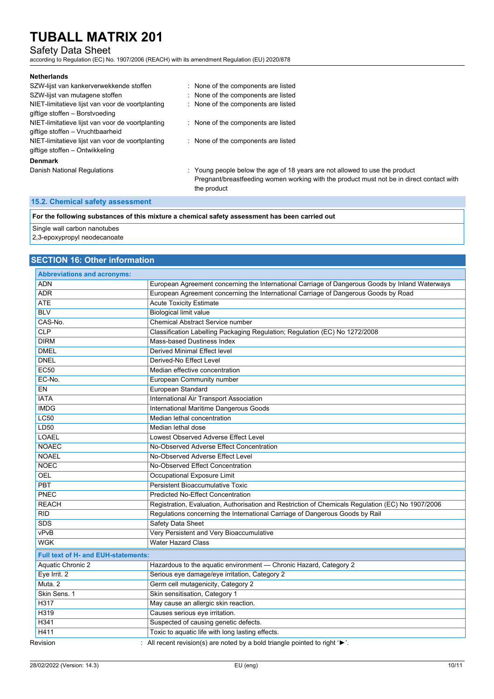## Safety Data Sheet

according to Regulation (EC) No. 1907/2006 (REACH) with its amendment Regulation (EU) 2020/878

| <b>Netherlands</b>                               |                                                                                          |
|--------------------------------------------------|------------------------------------------------------------------------------------------|
| SZW-lijst van kankerverwekkende stoffen          | : None of the components are listed                                                      |
| SZW-lijst van mutagene stoffen                   | : None of the components are listed                                                      |
| NIET-limitatieve lijst van voor de voortplanting | : None of the components are listed                                                      |
| giftige stoffen - Borstvoeding                   |                                                                                          |
| NIET-limitatieve lijst van voor de voortplanting | : None of the components are listed                                                      |
| giftige stoffen – Vruchtbaarheid                 |                                                                                          |
| NIET-limitatieve lijst van voor de voortplanting | : None of the components are listed                                                      |
| giftige stoffen – Ontwikkeling                   |                                                                                          |
| <b>Denmark</b>                                   |                                                                                          |
| Danish National Regulations                      | : Young people below the age of 18 years are not allowed to use the product              |
|                                                  | Pregnant/breastfeeding women working with the product must not be in direct contact with |
|                                                  | the product                                                                              |

## **15.2. Chemical safety assessment**

**For the following substances of this mixture a chemical safety assessment has been carried out**

Single wall carbon nanotubes

2,3-epoxypropyl neodecanoate

## **SECTION 16: Other information**

| <b>Abbreviations and acronyms:</b>         |                                                                                                   |
|--------------------------------------------|---------------------------------------------------------------------------------------------------|
| <b>ADN</b>                                 | European Agreement concerning the International Carriage of Dangerous Goods by Inland Waterways   |
| <b>ADR</b>                                 | European Agreement concerning the International Carriage of Dangerous Goods by Road               |
| <b>ATE</b>                                 | <b>Acute Toxicity Estimate</b>                                                                    |
| <b>BLV</b>                                 | <b>Biological limit value</b>                                                                     |
| CAS-No.                                    | <b>Chemical Abstract Service number</b>                                                           |
| CLP                                        | Classification Labelling Packaging Regulation; Regulation (EC) No 1272/2008                       |
| <b>DIRM</b>                                | Mass-based Dustiness Index                                                                        |
| <b>DMEL</b>                                | <b>Derived Minimal Effect level</b>                                                               |
| <b>DNEL</b>                                | Derived-No Effect Level                                                                           |
| <b>EC50</b>                                | Median effective concentration                                                                    |
| EC-No.                                     | European Community number                                                                         |
| EN                                         | European Standard                                                                                 |
| <b>IATA</b>                                | <b>International Air Transport Association</b>                                                    |
| <b>IMDG</b>                                | International Maritime Dangerous Goods                                                            |
| LC50                                       | Median lethal concentration                                                                       |
| LD50                                       | Median lethal dose                                                                                |
| <b>LOAEL</b>                               | Lowest Observed Adverse Effect Level                                                              |
| <b>NOAEC</b>                               | No-Observed Adverse Effect Concentration                                                          |
| <b>NOAEL</b>                               | No-Observed Adverse Effect Level                                                                  |
| <b>NOEC</b>                                | No-Observed Effect Concentration                                                                  |
| <b>OEL</b>                                 | Occupational Exposure Limit                                                                       |
| <b>PBT</b>                                 | <b>Persistent Bioaccumulative Toxic</b>                                                           |
| <b>PNEC</b>                                | <b>Predicted No-Effect Concentration</b>                                                          |
| <b>REACH</b>                               | Registration, Evaluation, Authorisation and Restriction of Chemicals Regulation (EC) No 1907/2006 |
| <b>RID</b>                                 | Regulations concerning the International Carriage of Dangerous Goods by Rail                      |
| <b>SDS</b>                                 | <b>Safety Data Sheet</b>                                                                          |
| vPvB                                       | Very Persistent and Very Bioaccumulative                                                          |
| <b>WGK</b>                                 | <b>Water Hazard Class</b>                                                                         |
| <b>Full text of H- and EUH-statements:</b> |                                                                                                   |
| Aquatic Chronic 2                          | Hazardous to the aquatic environment - Chronic Hazard, Category 2                                 |
| Eye Irrit. 2                               | Serious eye damage/eye irritation, Category 2                                                     |
| Muta <sub>.2</sub>                         | Germ cell mutagenicity, Category 2                                                                |
| Skin Sens. 1                               | Skin sensitisation, Category 1                                                                    |
| H317                                       | May cause an allergic skin reaction.                                                              |
| H319                                       | Causes serious eye irritation.                                                                    |
| H341                                       | Suspected of causing genetic defects.                                                             |
| H411                                       | Toxic to aquatic life with long lasting effects.                                                  |
| Revision                                   | All recent revision(s) are noted by a bold triangle pointed to right ' $\blacktriangleright$ '.   |